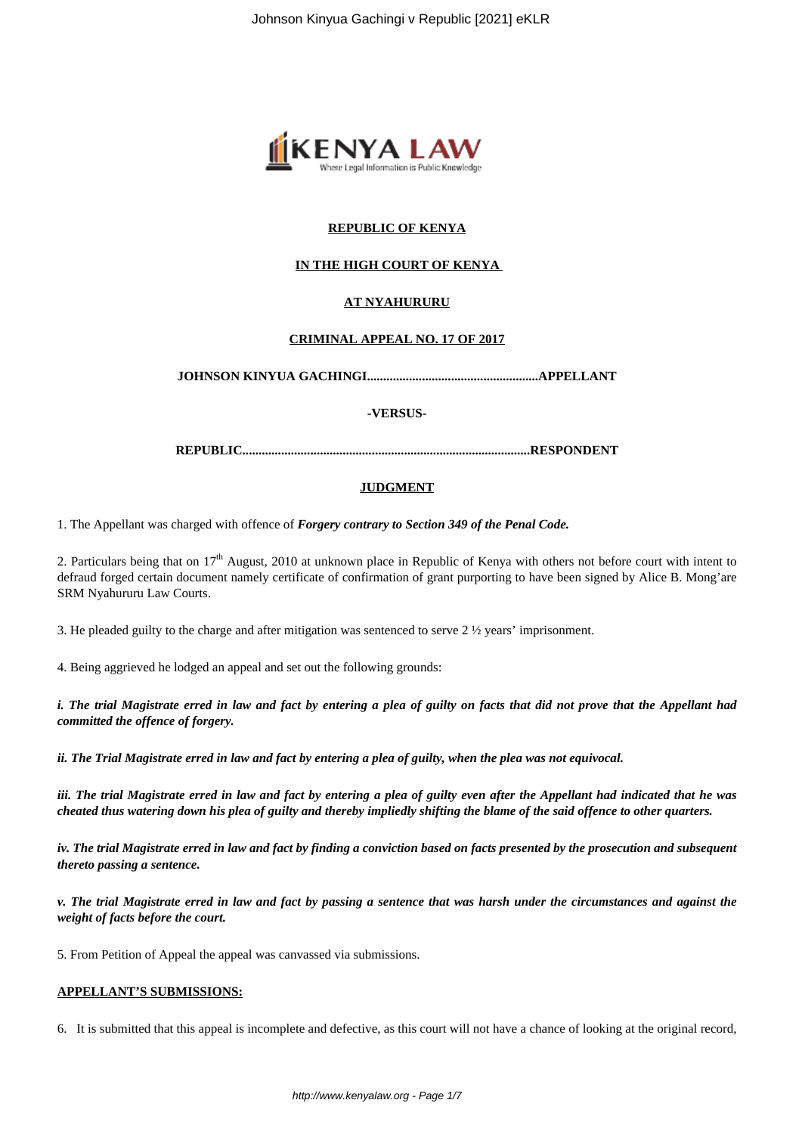

# **REPUBLIC OF KENYA**

# **IN THE HIGH COURT OF KENYA**

# **AT NYAHURURU**

# **CRIMINAL APPEAL NO. 17 OF 2017**

**JOHNSON KINYUA GACHINGI.....................................................APPELLANT**

#### **-VERSUS-**

**REPUBLIC.........................................................................................RESPONDENT**

### **JUDGMENT**

1. The Appellant was charged with offence of *Forgery contrary to Section 349 of the Penal Code.*

2. Particulars being that on  $17<sup>th</sup>$  August, 2010 at unknown place in Republic of Kenya with others not before court with intent to defraud forged certain document namely certificate of confirmation of grant purporting to have been signed by Alice B. Mong'are SRM Nyahururu Law Courts.

3. He pleaded guilty to the charge and after mitigation was sentenced to serve 2 ½ years' imprisonment.

4. Being aggrieved he lodged an appeal and set out the following grounds:

*i. The trial Magistrate erred in law and fact by entering a plea of guilty on facts that did not prove that the Appellant had committed the offence of forgery.*

*ii. The Trial Magistrate erred in law and fact by entering a plea of guilty, when the plea was not equivocal.*

*iii. The trial Magistrate erred in law and fact by entering a plea of guilty even after the Appellant had indicated that he was cheated thus watering down his plea of guilty and thereby impliedly shifting the blame of the said offence to other quarters.*

*iv. The trial Magistrate erred in law and fact by finding a conviction based on facts presented by the prosecution and subsequent thereto passing a sentence.*

*v. The trial Magistrate erred in law and fact by passing a sentence that was harsh under the circumstances and against the weight of facts before the court.*

5. From Petition of Appeal the appeal was canvassed via submissions.

# **APPELLANT'S SUBMISSIONS:**

6. It is submitted that this appeal is incomplete and defective, as this court will not have a chance of looking at the original record,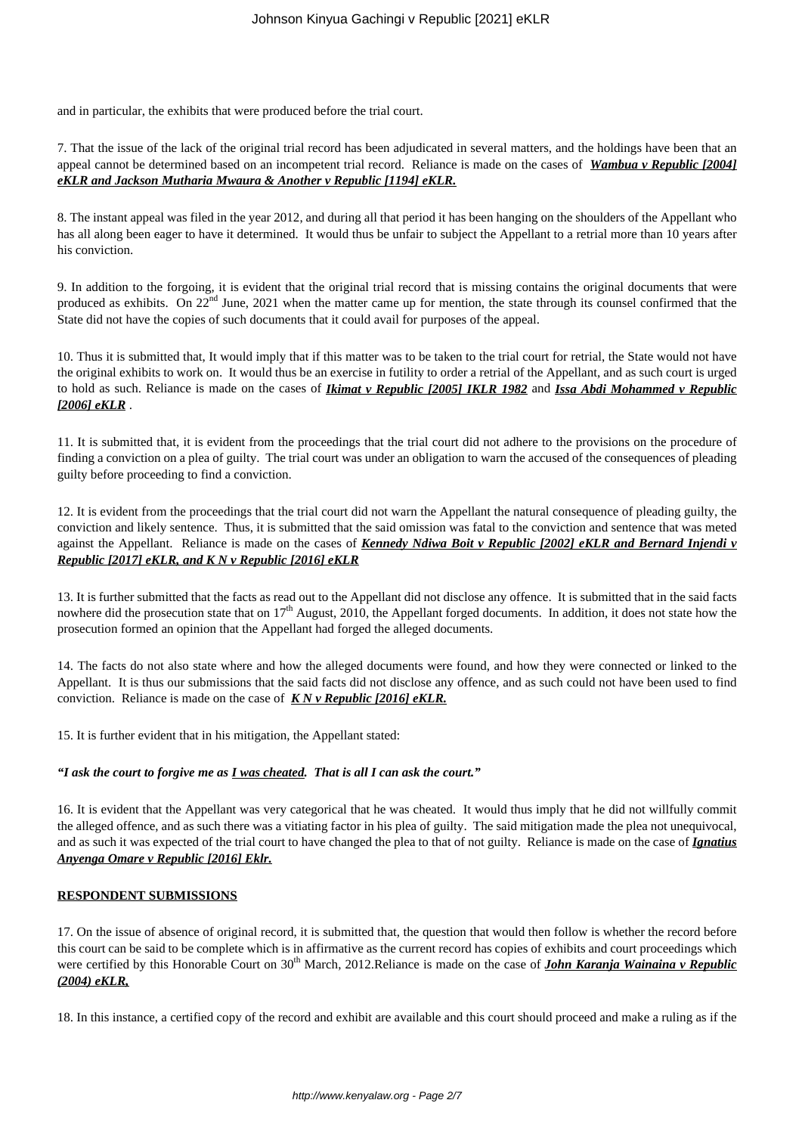and in particular, the exhibits that were produced before the trial court.

7. That the issue of the lack of the original trial record has been adjudicated in several matters, and the holdings have been that an appeal cannot be determined based on an incompetent trial record. Reliance is made on the cases of *Wambua v Republic [2004] eKLR and Jackson Mutharia Mwaura & Another v Republic [1194] eKLR.*

8. The instant appeal was filed in the year 2012, and during all that period it has been hanging on the shoulders of the Appellant who has all along been eager to have it determined. It would thus be unfair to subject the Appellant to a retrial more than 10 years after his conviction.

9. In addition to the forgoing, it is evident that the original trial record that is missing contains the original documents that were produced as exhibits. On 22<sup>nd</sup> June, 2021 when the matter came up for mention, the state through its counsel confirmed that the State did not have the copies of such documents that it could avail for purposes of the appeal.

10. Thus it is submitted that, It would imply that if this matter was to be taken to the trial court for retrial, the State would not have the original exhibits to work on. It would thus be an exercise in futility to order a retrial of the Appellant, and as such court is urged to hold as such. Reliance is made on the cases of *Ikimat v Republic [2005] IKLR 1982* and *Issa Abdi Mohammed v Republic [2006] eKLR* .

11. It is submitted that, it is evident from the proceedings that the trial court did not adhere to the provisions on the procedure of finding a conviction on a plea of guilty. The trial court was under an obligation to warn the accused of the consequences of pleading guilty before proceeding to find a conviction.

12. It is evident from the proceedings that the trial court did not warn the Appellant the natural consequence of pleading guilty, the conviction and likely sentence. Thus, it is submitted that the said omission was fatal to the conviction and sentence that was meted against the Appellant. Reliance is made on the cases of *Kennedy Ndiwa Boit v Republic [2002] eKLR and Bernard Injendi v Republic [2017] eKLR, and K N v Republic [2016] eKLR*

13. It is further submitted that the facts as read out to the Appellant did not disclose any offence. It is submitted that in the said facts nowhere did the prosecution state that on  $17<sup>th</sup>$  August, 2010, the Appellant forged documents. In addition, it does not state how the prosecution formed an opinion that the Appellant had forged the alleged documents.

14. The facts do not also state where and how the alleged documents were found, and how they were connected or linked to the Appellant. It is thus our submissions that the said facts did not disclose any offence, and as such could not have been used to find conviction. Reliance is made on the case of *K N v Republic [2016] eKLR.*

15. It is further evident that in his mitigation, the Appellant stated:

# *"I ask the court to forgive me as I was cheated. That is all I can ask the court."*

16. It is evident that the Appellant was very categorical that he was cheated. It would thus imply that he did not willfully commit the alleged offence, and as such there was a vitiating factor in his plea of guilty. The said mitigation made the plea not unequivocal, and as such it was expected of the trial court to have changed the plea to that of not guilty. Reliance is made on the case of *Ignatius Anyenga Omare v Republic [2016] Eklr.*

### **RESPONDENT SUBMISSIONS**

17. On the issue of absence of original record, it is submitted that, the question that would then follow is whether the record before this court can be said to be complete which is in affirmative as the current record has copies of exhibits and court proceedings which were certified by this Honorable Court on 30<sup>th</sup> March, 2012.Reliance is made on the case of *John Karanja Wainaina v Republic (2004) eKLR,*

18. In this instance, a certified copy of the record and exhibit are available and this court should proceed and make a ruling as if the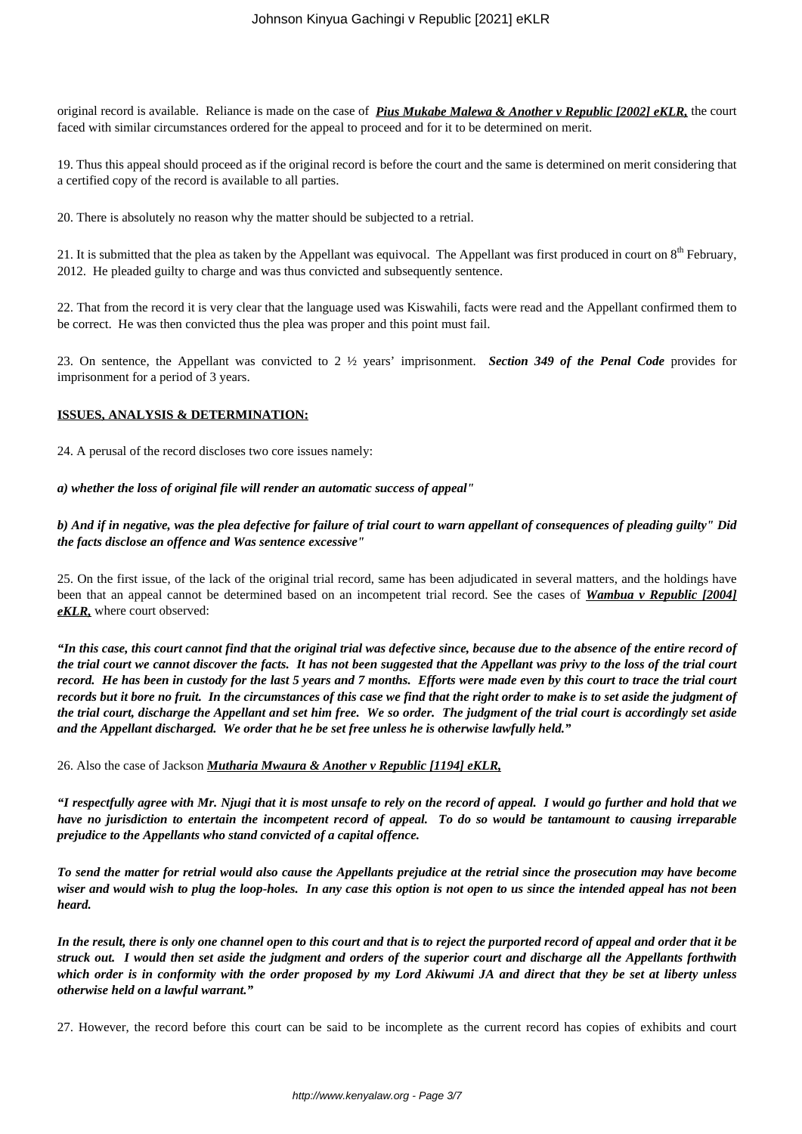original record is available. Reliance is made on the case of *Pius Mukabe Malewa & Another v Republic [2002] eKLR,* the court faced with similar circumstances ordered for the appeal to proceed and for it to be determined on merit.

19. Thus this appeal should proceed as if the original record is before the court and the same is determined on merit considering that a certified copy of the record is available to all parties.

20. There is absolutely no reason why the matter should be subjected to a retrial.

21. It is submitted that the plea as taken by the Appellant was equivocal. The Appellant was first produced in court on  $8<sup>th</sup>$  February, 2012. He pleaded guilty to charge and was thus convicted and subsequently sentence.

22. That from the record it is very clear that the language used was Kiswahili, facts were read and the Appellant confirmed them to be correct. He was then convicted thus the plea was proper and this point must fail.

23. On sentence, the Appellant was convicted to 2 ½ years' imprisonment. *Section 349 of the Penal Code* provides for imprisonment for a period of 3 years.

### **ISSUES, ANALYSIS & DETERMINATION:**

24. A perusal of the record discloses two core issues namely:

*a) whether the loss of original file will render an automatic success of appeal"* 

# *b) And if in negative, was the plea defective for failure of trial court to warn appellant of consequences of pleading guilty" Did the facts disclose an offence and Was sentence excessive"*

25. On the first issue, of the lack of the original trial record, same has been adjudicated in several matters, and the holdings have been that an appeal cannot be determined based on an incompetent trial record. See the cases of *Wambua v Republic [2004] eKLR,* where court observed:

*"In this case, this court cannot find that the original trial was defective since, because due to the absence of the entire record of the trial court we cannot discover the facts. It has not been suggested that the Appellant was privy to the loss of the trial court record. He has been in custody for the last 5 years and 7 months. Efforts were made even by this court to trace the trial court records but it bore no fruit. In the circumstances of this case we find that the right order to make is to set aside the judgment of the trial court, discharge the Appellant and set him free. We so order. The judgment of the trial court is accordingly set aside and the Appellant discharged. We order that he be set free unless he is otherwise lawfully held."*

26. Also the case of Jackson *Mutharia Mwaura & Another v Republic [1194] eKLR,*

*"I respectfully agree with Mr. Njugi that it is most unsafe to rely on the record of appeal. I would go further and hold that we have no jurisdiction to entertain the incompetent record of appeal. To do so would be tantamount to causing irreparable prejudice to the Appellants who stand convicted of a capital offence.*

*To send the matter for retrial would also cause the Appellants prejudice at the retrial since the prosecution may have become wiser and would wish to plug the loop-holes. In any case this option is not open to us since the intended appeal has not been heard.*

*In the result, there is only one channel open to this court and that is to reject the purported record of appeal and order that it be struck out. I would then set aside the judgment and orders of the superior court and discharge all the Appellants forthwith which order is in conformity with the order proposed by my Lord Akiwumi JA and direct that they be set at liberty unless otherwise held on a lawful warrant."*

27. However, the record before this court can be said to be incomplete as the current record has copies of exhibits and court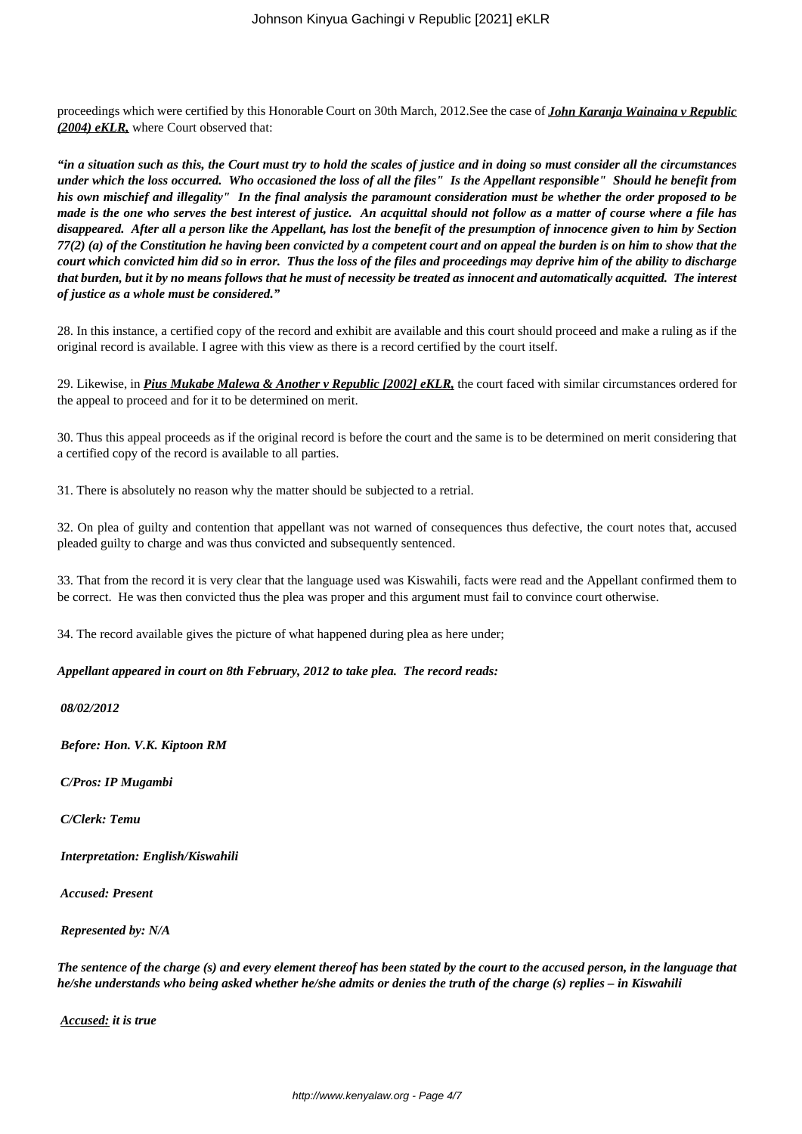proceedings which were certified by this Honorable Court on 30th March, 2012.See the case of *John Karanja Wainaina v Republic (2004) eKLR,* where Court observed that:

*"in a situation such as this, the Court must try to hold the scales of justice and in doing so must consider all the circumstances under which the loss occurred. Who occasioned the loss of all the files" Is the Appellant responsible" Should he benefit from his own mischief and illegality" In the final analysis the paramount consideration must be whether the order proposed to be made is the one who serves the best interest of justice. An acquittal should not follow as a matter of course where a file has disappeared. After all a person like the Appellant, has lost the benefit of the presumption of innocence given to him by Section 77(2) (a) of the Constitution he having been convicted by a competent court and on appeal the burden is on him to show that the court which convicted him did so in error. Thus the loss of the files and proceedings may deprive him of the ability to discharge that burden, but it by no means follows that he must of necessity be treated as innocent and automatically acquitted. The interest of justice as a whole must be considered."*

28. In this instance, a certified copy of the record and exhibit are available and this court should proceed and make a ruling as if the original record is available. I agree with this view as there is a record certified by the court itself.

29. Likewise, in *Pius Mukabe Malewa & Another v Republic [2002] eKLR,* the court faced with similar circumstances ordered for the appeal to proceed and for it to be determined on merit.

30. Thus this appeal proceeds as if the original record is before the court and the same is to be determined on merit considering that a certified copy of the record is available to all parties.

31. There is absolutely no reason why the matter should be subjected to a retrial.

32. On plea of guilty and contention that appellant was not warned of consequences thus defective, the court notes that, accused pleaded guilty to charge and was thus convicted and subsequently sentenced.

33. That from the record it is very clear that the language used was Kiswahili, facts were read and the Appellant confirmed them to be correct. He was then convicted thus the plea was proper and this argument must fail to convince court otherwise.

34. The record available gives the picture of what happened during plea as here under;

*Appellant appeared in court on 8th February, 2012 to take plea. The record reads:*

*08/02/2012*

*Before: Hon. V.K. Kiptoon RM*

*C/Pros: IP Mugambi* 

*C/Clerk: Temu*

*Interpretation: English/Kiswahili*

*Accused: Present*

*Represented by: N/A*

*The sentence of the charge (s) and every element thereof has been stated by the court to the accused person, in the language that he/she understands who being asked whether he/she admits or denies the truth of the charge (s) replies – in Kiswahili*

*Accused: it is true*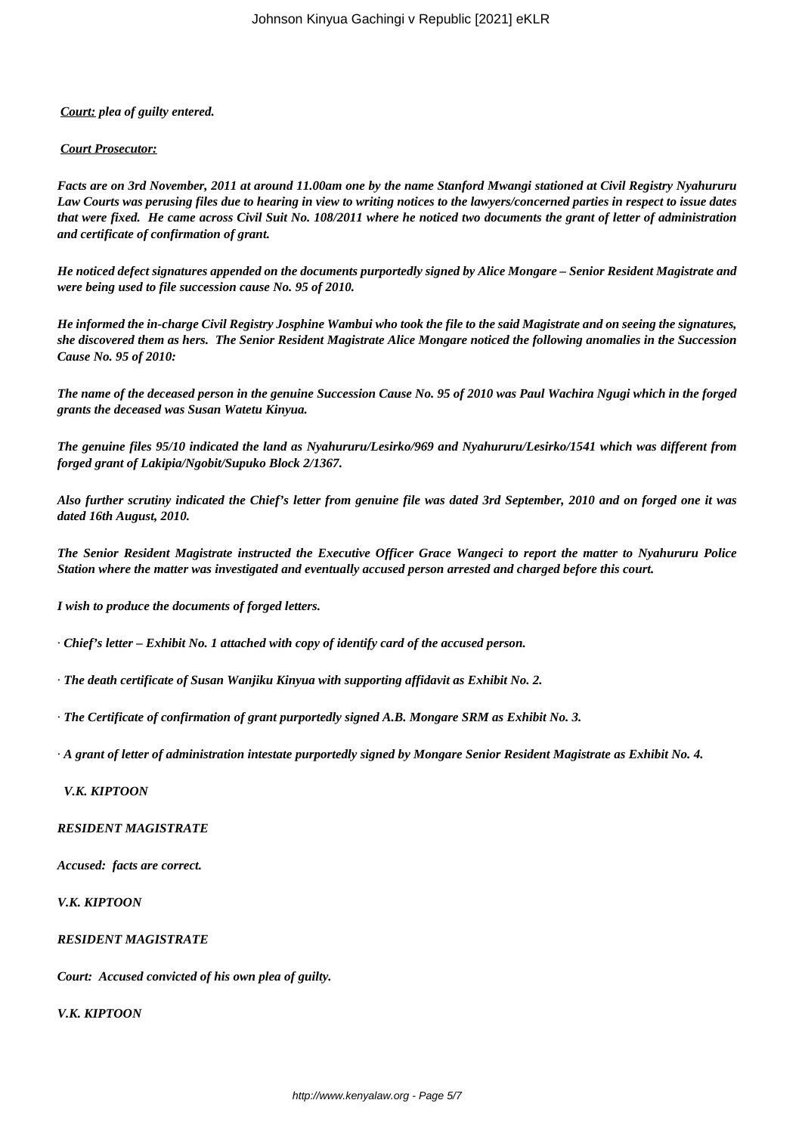# *Court: plea of guilty entered.*

#### *Court Prosecutor:*

*Facts are on 3rd November, 2011 at around 11.00am one by the name Stanford Mwangi stationed at Civil Registry Nyahururu Law Courts was perusing files due to hearing in view to writing notices to the lawyers/concerned parties in respect to issue dates that were fixed. He came across Civil Suit No. 108/2011 where he noticed two documents the grant of letter of administration and certificate of confirmation of grant.*

*He noticed defect signatures appended on the documents purportedly signed by Alice Mongare – Senior Resident Magistrate and were being used to file succession cause No. 95 of 2010.*

*He informed the in-charge Civil Registry Josphine Wambui who took the file to the said Magistrate and on seeing the signatures, she discovered them as hers. The Senior Resident Magistrate Alice Mongare noticed the following anomalies in the Succession Cause No. 95 of 2010:*

*The name of the deceased person in the genuine Succession Cause No. 95 of 2010 was Paul Wachira Ngugi which in the forged grants the deceased was Susan Watetu Kinyua.*

*The genuine files 95/10 indicated the land as Nyahururu/Lesirko/969 and Nyahururu/Lesirko/1541 which was different from forged grant of Lakipia/Ngobit/Supuko Block 2/1367.*

*Also further scrutiny indicated the Chief's letter from genuine file was dated 3rd September, 2010 and on forged one it was dated 16th August, 2010.*

*The Senior Resident Magistrate instructed the Executive Officer Grace Wangeci to report the matter to Nyahururu Police Station where the matter was investigated and eventually accused person arrested and charged before this court.*

*I wish to produce the documents of forged letters.*

· *Chief's letter – Exhibit No. 1 attached with copy of identify card of the accused person.*

· *The death certificate of Susan Wanjiku Kinyua with supporting affidavit as Exhibit No. 2.*

· *The Certificate of confirmation of grant purportedly signed A.B. Mongare SRM as Exhibit No. 3.*

· *A grant of letter of administration intestate purportedly signed by Mongare Senior Resident Magistrate as Exhibit No. 4.*

# *V.K. KIPTOON*

#### *RESIDENT MAGISTRATE*

*Accused: facts are correct.*

*V.K. KIPTOON*

*RESIDENT MAGISTRATE*

*Court: Accused convicted of his own plea of guilty.*

*V.K. KIPTOON*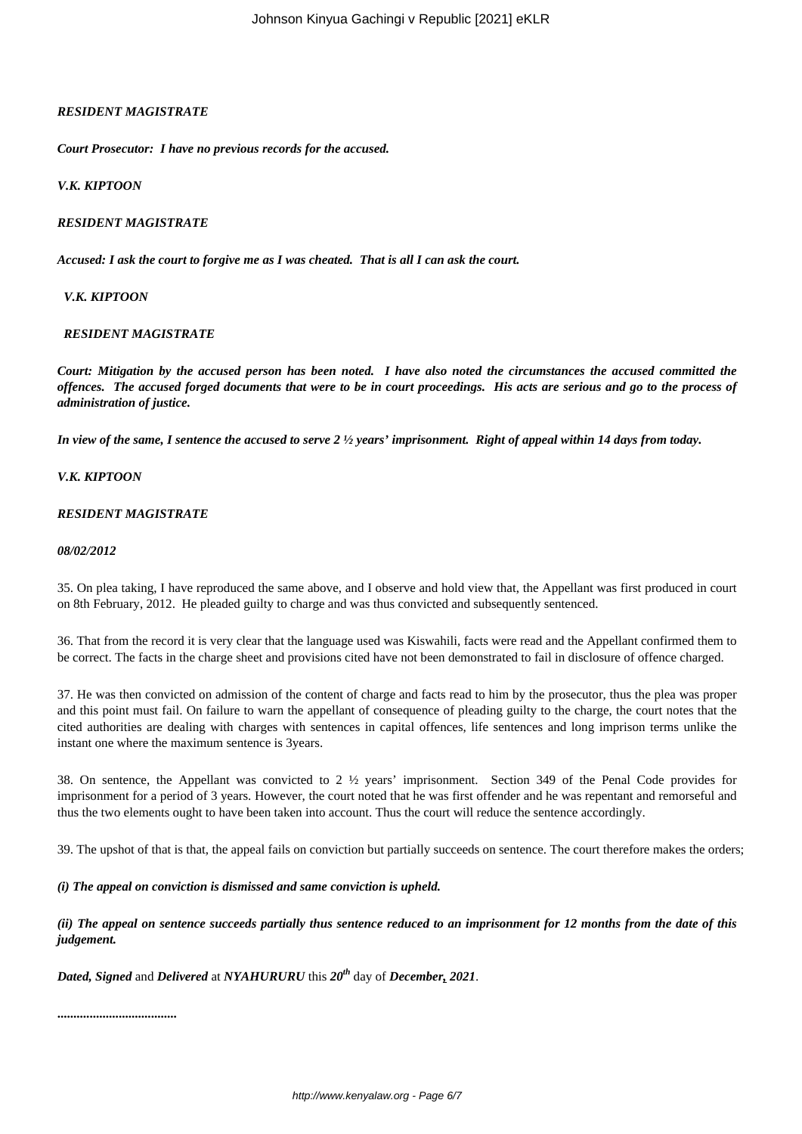# *RESIDENT MAGISTRATE*

*Court Prosecutor: I have no previous records for the accused.*

### *V.K. KIPTOON*

### *RESIDENT MAGISTRATE*

*Accused: I ask the court to forgive me as I was cheated. That is all I can ask the court.*

 *V.K. KIPTOON*

### *RESIDENT MAGISTRATE*

*Court: Mitigation by the accused person has been noted. I have also noted the circumstances the accused committed the offences. The accused forged documents that were to be in court proceedings. His acts are serious and go to the process of administration of justice.*

*In view of the same, I sentence the accused to serve 2 ½ years' imprisonment. Right of appeal within 14 days from today.*

### *V.K. KIPTOON*

### *RESIDENT MAGISTRATE*

#### *08/02/2012*

35. On plea taking, I have reproduced the same above, and I observe and hold view that, the Appellant was first produced in court on 8th February, 2012. He pleaded guilty to charge and was thus convicted and subsequently sentenced.

36. That from the record it is very clear that the language used was Kiswahili, facts were read and the Appellant confirmed them to be correct. The facts in the charge sheet and provisions cited have not been demonstrated to fail in disclosure of offence charged.

37. He was then convicted on admission of the content of charge and facts read to him by the prosecutor, thus the plea was proper and this point must fail. On failure to warn the appellant of consequence of pleading guilty to the charge, the court notes that the cited authorities are dealing with charges with sentences in capital offences, life sentences and long imprison terms unlike the instant one where the maximum sentence is 3years.

38. On sentence, the Appellant was convicted to 2 ½ years' imprisonment. Section 349 of the Penal Code provides for imprisonment for a period of 3 years. However, the court noted that he was first offender and he was repentant and remorseful and thus the two elements ought to have been taken into account. Thus the court will reduce the sentence accordingly.

39. The upshot of that is that, the appeal fails on conviction but partially succeeds on sentence. The court therefore makes the orders;

*(i) The appeal on conviction is dismissed and same conviction is upheld.*

*(ii) The appeal on sentence succeeds partially thus sentence reduced to an imprisonment for 12 months from the date of this judgement.* 

*Dated, Signed* and *Delivered* at *NYAHURURU* this *20th* day of *December, 2021*.

**.....................................**